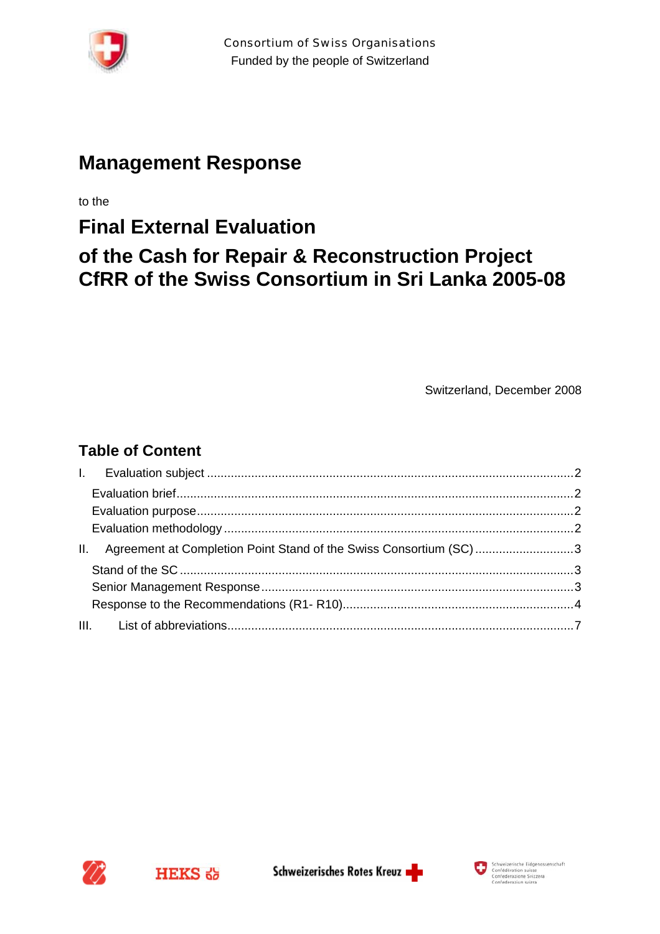

# **Management Response**

to the

# **Final External Evaluation of the Cash for Repair & Reconstruction Project CfRR of the Swiss Consortium in Sri Lanka 2005-08**

Switzerland, December 2008

# **Table of Content**

| Ш. | Agreement at Completion Point Stand of the Swiss Consortium (SC)3 |  |
|----|-------------------------------------------------------------------|--|
|    |                                                                   |  |
|    |                                                                   |  |
|    |                                                                   |  |
|    |                                                                   |  |



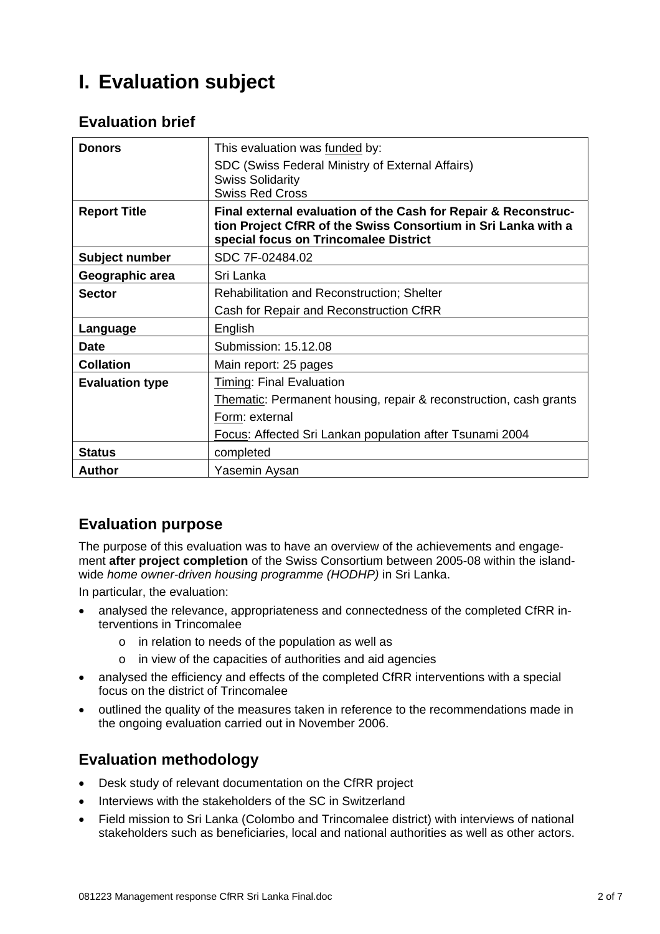# **I. Evaluation subject**

## **Evaluation brief**

| <b>Donors</b>          | This evaluation was funded by:<br>SDC (Swiss Federal Ministry of External Affairs)<br><b>Swiss Solidarity</b><br><b>Swiss Red Cross</b>                                  |
|------------------------|--------------------------------------------------------------------------------------------------------------------------------------------------------------------------|
| <b>Report Title</b>    | Final external evaluation of the Cash for Repair & Reconstruc-<br>tion Project CfRR of the Swiss Consortium in Sri Lanka with a<br>special focus on Trincomalee District |
| Subject number         | SDC 7F-02484.02                                                                                                                                                          |
| Geographic area        | Sri Lanka                                                                                                                                                                |
| <b>Sector</b>          | <b>Rehabilitation and Reconstruction; Shelter</b>                                                                                                                        |
|                        | Cash for Repair and Reconstruction CfRR                                                                                                                                  |
| Language               | English                                                                                                                                                                  |
| <b>Date</b>            | Submission: 15.12.08                                                                                                                                                     |
| <b>Collation</b>       | Main report: 25 pages                                                                                                                                                    |
| <b>Evaluation type</b> | <b>Timing: Final Evaluation</b>                                                                                                                                          |
|                        | Thematic: Permanent housing, repair & reconstruction, cash grants                                                                                                        |
|                        | Form: external                                                                                                                                                           |
|                        | Focus: Affected Sri Lankan population after Tsunami 2004                                                                                                                 |
| <b>Status</b>          | completed                                                                                                                                                                |
| Author                 | Yasemin Aysan                                                                                                                                                            |

## **Evaluation purpose**

The purpose of this evaluation was to have an overview of the achievements and engagement **after project completion** of the Swiss Consortium between 2005-08 within the islandwide *home owner-driven housing programme (HODHP)* in Sri Lanka.

In particular, the evaluation:

- analysed the relevance, appropriateness and connectedness of the completed CfRR interventions in Trincomalee
	- o in relation to needs of the population as well as
	- o in view of the capacities of authorities and aid agencies
- analysed the efficiency and effects of the completed CfRR interventions with a special focus on the district of Trincomalee
- outlined the quality of the measures taken in reference to the recommendations made in the ongoing evaluation carried out in November 2006.

## **Evaluation methodology**

- Desk study of relevant documentation on the CfRR project
- Interviews with the stakeholders of the SC in Switzerland
- Field mission to Sri Lanka (Colombo and Trincomalee district) with interviews of national stakeholders such as beneficiaries, local and national authorities as well as other actors.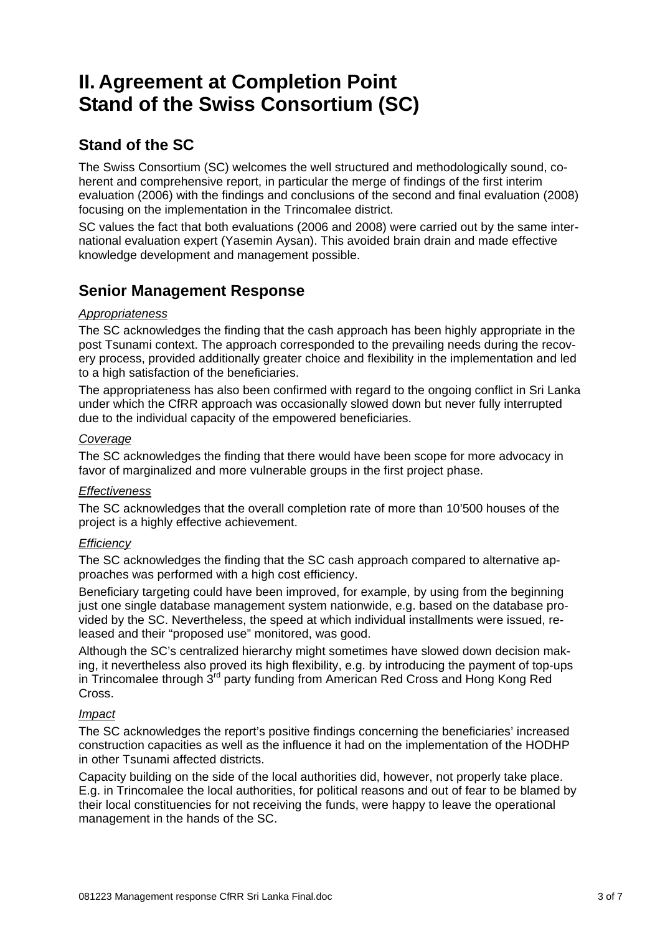# **II. Agreement at Completion Point Stand of the Swiss Consortium (SC)**

# **Stand of the SC**

The Swiss Consortium (SC) welcomes the well structured and methodologically sound, coherent and comprehensive report, in particular the merge of findings of the first interim evaluation (2006) with the findings and conclusions of the second and final evaluation (2008) focusing on the implementation in the Trincomalee district.

SC values the fact that both evaluations (2006 and 2008) were carried out by the same international evaluation expert (Yasemin Aysan). This avoided brain drain and made effective knowledge development and management possible.

## **Senior Management Response**

### *Appropriateness*

The SC acknowledges the finding that the cash approach has been highly appropriate in the post Tsunami context. The approach corresponded to the prevailing needs during the recovery process, provided additionally greater choice and flexibility in the implementation and led to a high satisfaction of the beneficiaries.

The appropriateness has also been confirmed with regard to the ongoing conflict in Sri Lanka under which the CfRR approach was occasionally slowed down but never fully interrupted due to the individual capacity of the empowered beneficiaries.

#### *Coverage*

The SC acknowledges the finding that there would have been scope for more advocacy in favor of marginalized and more vulnerable groups in the first project phase.

### *Effectiveness*

The SC acknowledges that the overall completion rate of more than 10'500 houses of the project is a highly effective achievement.

### *Efficiency*

The SC acknowledges the finding that the SC cash approach compared to alternative approaches was performed with a high cost efficiency.

Beneficiary targeting could have been improved, for example, by using from the beginning just one single database management system nationwide, e.g. based on the database provided by the SC. Nevertheless, the speed at which individual installments were issued, released and their "proposed use" monitored, was good.

Although the SC's centralized hierarchy might sometimes have slowed down decision making, it nevertheless also proved its high flexibility, e.g. by introducing the payment of top-ups in Trincomalee through 3<sup>rd</sup> party funding from American Red Cross and Hong Kong Red Cross.

### *Impact*

The SC acknowledges the report's positive findings concerning the beneficiaries' increased construction capacities as well as the influence it had on the implementation of the HODHP in other Tsunami affected districts.

Capacity building on the side of the local authorities did, however, not properly take place. E.g. in Trincomalee the local authorities, for political reasons and out of fear to be blamed by their local constituencies for not receiving the funds, were happy to leave the operational management in the hands of the SC.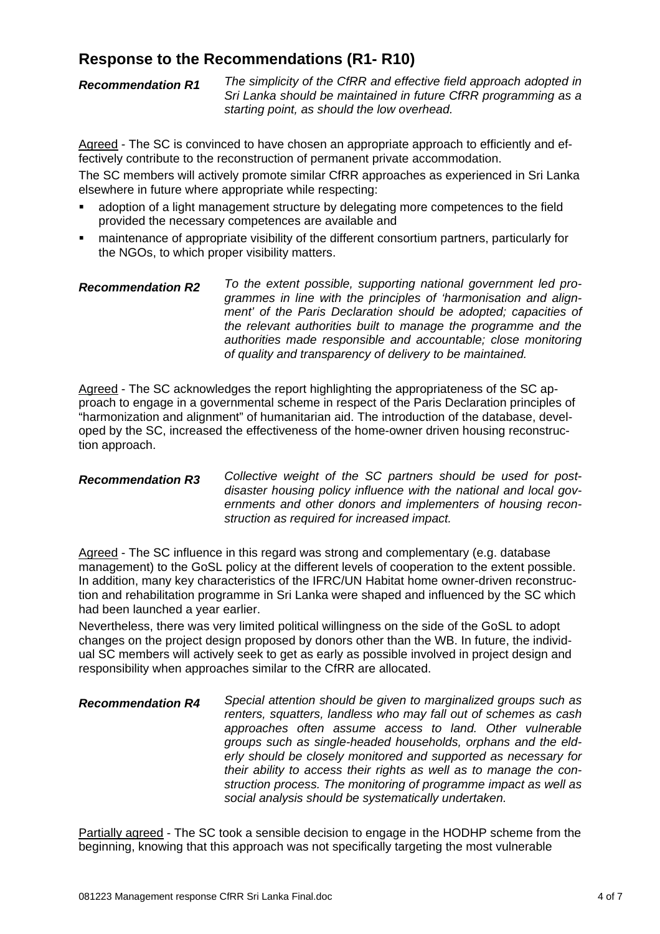## **Response to the Recommendations (R1- R10)**

*Recommendation R1 The simplicity of the CfRR and effective field approach adopted in Sri Lanka should be maintained in future CfRR programming as a starting point, as should the low overhead.*

Agreed - The SC is convinced to have chosen an appropriate approach to efficiently and effectively contribute to the reconstruction of permanent private accommodation.

The SC members will actively promote similar CfRR approaches as experienced in Sri Lanka elsewhere in future where appropriate while respecting:

- adoption of a light management structure by delegating more competences to the field provided the necessary competences are available and
- maintenance of appropriate visibility of the different consortium partners, particularly for the NGOs, to which proper visibility matters.
- *Recommendation R2 To the extent possible, supporting national government led programmes in line with the principles of 'harmonisation and alignment' of the Paris Declaration should be adopted; capacities of the relevant authorities built to manage the programme and the authorities made responsible and accountable; close monitoring of quality and transparency of delivery to be maintained.*

Agreed - The SC acknowledges the report highlighting the appropriateness of the SC approach to engage in a governmental scheme in respect of the Paris Declaration principles of "harmonization and alignment" of humanitarian aid. The introduction of the database, developed by the SC, increased the effectiveness of the home-owner driven housing reconstruction approach.

*Recommendation R3 Collective weight of the SC partners should be used for postdisaster housing policy influence with the national and local governments and other donors and implementers of housing reconstruction as required for increased impact.*

Agreed - The SC influence in this regard was strong and complementary (e.g. database management) to the GoSL policy at the different levels of cooperation to the extent possible. In addition, many key characteristics of the IFRC/UN Habitat home owner-driven reconstruction and rehabilitation programme in Sri Lanka were shaped and influenced by the SC which had been launched a year earlier.

Nevertheless, there was very limited political willingness on the side of the GoSL to adopt changes on the project design proposed by donors other than the WB. In future, the individual SC members will actively seek to get as early as possible involved in project design and responsibility when approaches similar to the CfRR are allocated.

*Recommendation R4 Special attention should be given to marginalized groups such as renters, squatters, landless who may fall out of schemes as cash approaches often assume access to land. Other vulnerable groups such as single-headed households, orphans and the elderly should be closely monitored and supported as necessary for their ability to access their rights as well as to manage the construction process. The monitoring of programme impact as well as social analysis should be systematically undertaken.*

Partially agreed - The SC took a sensible decision to engage in the HODHP scheme from the beginning, knowing that this approach was not specifically targeting the most vulnerable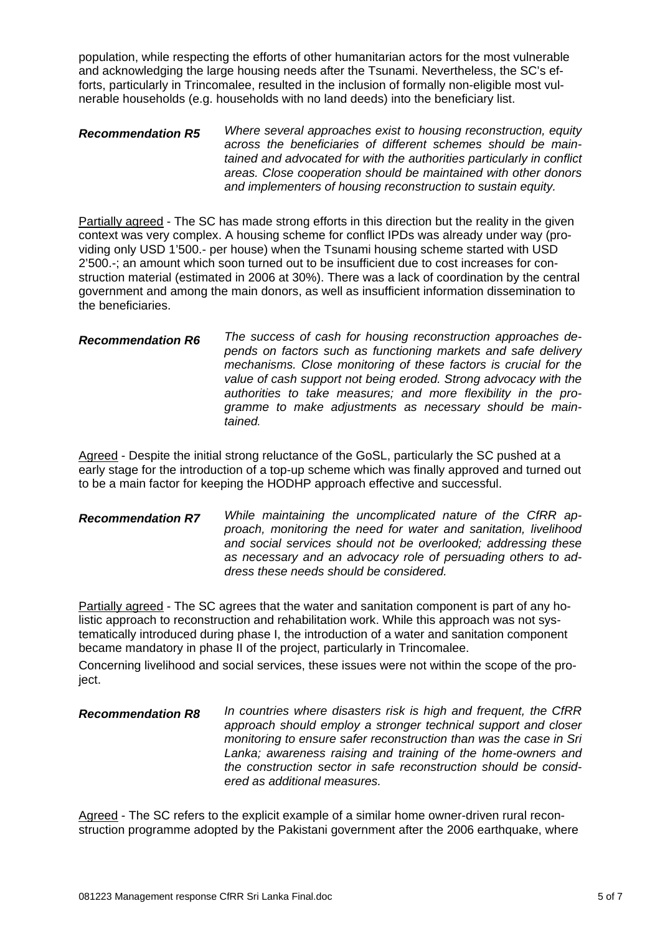population, while respecting the efforts of other humanitarian actors for the most vulnerable and acknowledging the large housing needs after the Tsunami. Nevertheless, the SC's efforts, particularly in Trincomalee, resulted in the inclusion of formally non-eligible most vulnerable households (e.g. households with no land deeds) into the beneficiary list.

#### *Recommendation R5 Where several approaches exist to housing reconstruction, equity across the beneficiaries of different schemes should be maintained and advocated for with the authorities particularly in conflict areas. Close cooperation should be maintained with other donors and implementers of housing reconstruction to sustain equity.*

Partially agreed - The SC has made strong efforts in this direction but the reality in the given context was very complex. A housing scheme for conflict IPDs was already under way (providing only USD 1'500.- per house) when the Tsunami housing scheme started with USD 2'500.-; an amount which soon turned out to be insufficient due to cost increases for construction material (estimated in 2006 at 30%). There was a lack of coordination by the central government and among the main donors, as well as insufficient information dissemination to the beneficiaries.

#### *Recommendation R6 The success of cash for housing reconstruction approaches depends on factors such as functioning markets and safe delivery mechanisms. Close monitoring of these factors is crucial for the value of cash support not being eroded. Strong advocacy with the authorities to take measures; and more flexibility in the programme to make adjustments as necessary should be maintained.*

Agreed - Despite the initial strong reluctance of the GoSL, particularly the SC pushed at a early stage for the introduction of a top-up scheme which was finally approved and turned out to be a main factor for keeping the HODHP approach effective and successful.

#### *Recommendation R7 While maintaining the uncomplicated nature of the CfRR approach, monitoring the need for water and sanitation, livelihood and social services should not be overlooked; addressing these as necessary and an advocacy role of persuading others to address these needs should be considered.*

Partially agreed - The SC agrees that the water and sanitation component is part of any holistic approach to reconstruction and rehabilitation work. While this approach was not systematically introduced during phase I, the introduction of a water and sanitation component became mandatory in phase II of the project, particularly in Trincomalee.

Concerning livelihood and social services, these issues were not within the scope of the project.

#### *Recommendation R8 In countries where disasters risk is high and frequent, the CfRR approach should employ a stronger technical support and closer monitoring to ensure safer reconstruction than was the case in Sri Lanka; awareness raising and training of the home-owners and the construction sector in safe reconstruction should be considered as additional measures.*

Agreed - The SC refers to the explicit example of a similar home owner-driven rural reconstruction programme adopted by the Pakistani government after the 2006 earthquake, where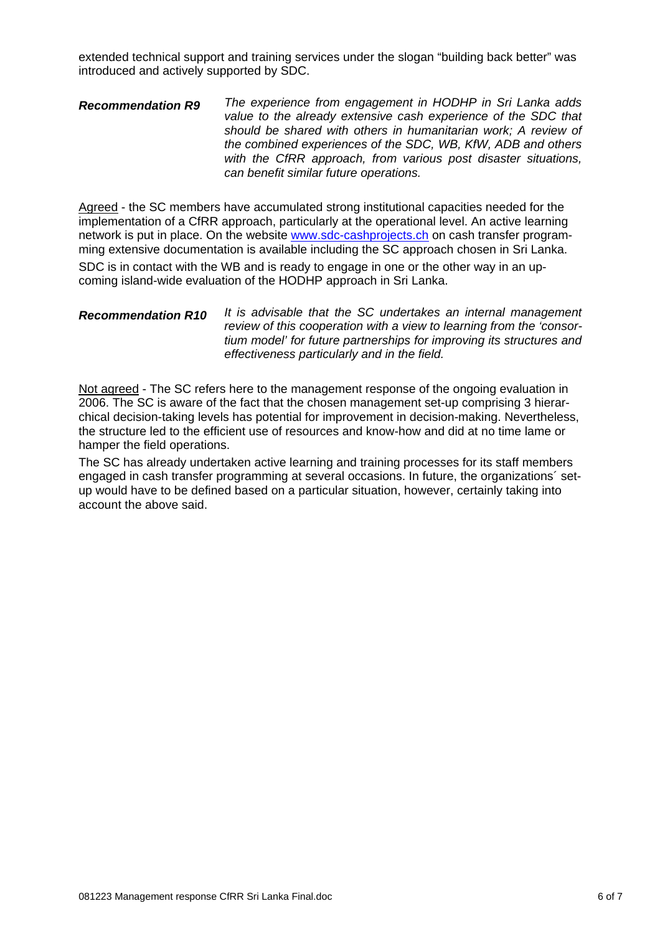extended technical support and training services under the slogan "building back better" was introduced and actively supported by SDC.

#### *Recommendation R9 The experience from engagement in HODHP in Sri Lanka adds value to the already extensive cash experience of the SDC that should be shared with others in humanitarian work; A review of the combined experiences of the SDC, WB, KfW, ADB and others with the CfRR approach, from various post disaster situations, can benefit similar future operations.*

Agreed - the SC members have accumulated strong institutional capacities needed for the implementation of a CfRR approach, particularly at the operational level. An active learning network is put in place. On the website www.sdc-cashprojects.ch on cash transfer programming extensive documentation is available including the SC approach chosen in Sri Lanka. SDC is in contact with the WB and is ready to engage in one or the other way in an upcoming island-wide evaluation of the HODHP approach in Sri Lanka.

#### *Recommendation R10 It is advisable that the SC undertakes an internal management review of this cooperation with a view to learning from the 'consortium model' for future partnerships for improving its structures and effectiveness particularly and in the field.*

Not agreed - The SC refers here to the management response of the ongoing evaluation in 2006. The SC is aware of the fact that the chosen management set-up comprising 3 hierarchical decision-taking levels has potential for improvement in decision-making. Nevertheless, the structure led to the efficient use of resources and know-how and did at no time lame or hamper the field operations.

The SC has already undertaken active learning and training processes for its staff members engaged in cash transfer programming at several occasions. In future, the organizations´ setup would have to be defined based on a particular situation, however, certainly taking into account the above said.